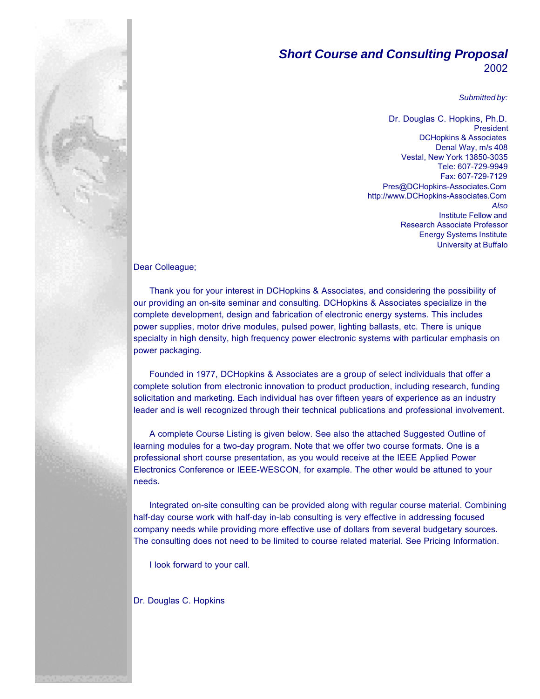# *Short Course and Consulting Proposal* 2002

*Submitted by:*

Dr. Douglas C. Hopkins, Ph.D. President DCHopkins & Associates Denal Way, m/s 408 Vestal, New York 13850-3035 Tele: 607-729-9949 Fax: 607-729-7129 Pres@DCHopkins-Associates.Com http://www.DCHopkins-Associates.Com *Also* Institute Fellow and Research Associate Professor Energy Systems Institute University at Buffalo

Dear Colleague;

Thank you for your interest in DCHopkins & Associates, and considering the possibility of our providing an on-site seminar and consulting. DCHopkins & Associates specialize in the complete development, design and fabrication of electronic energy systems. This includes power supplies, motor drive modules, pulsed power, lighting ballasts, etc. There is unique specialty in high density, high frequency power electronic systems with particular emphasis on power packaging.

Founded in 1977, DCHopkins & Associates are a group of select individuals that offer a complete solution from electronic innovation to product production, including research, funding solicitation and marketing. Each individual has over fifteen years of experience as an industry leader and is well recognized through their technical publications and professional involvement.

A complete Course Listing is given below. See also the attached Suggested Outline of learning modules for a two-day program. Note that we offer two course formats. One is a professional short course presentation, as you would receive at the IEEE Applied Power Electronics Conference or IEEE-WESCON, for example. The other would be attuned to your needs.

Integrated on-site consulting can be provided along with regular course material. Combining half-day course work with half-day in-lab consulting is very effective in addressing focused company needs while providing more effective use of dollars from several budgetary sources. The consulting does not need to be limited to course related material. See Pricing Information.

I look forward to your call.

Dr. Douglas C. Hopkins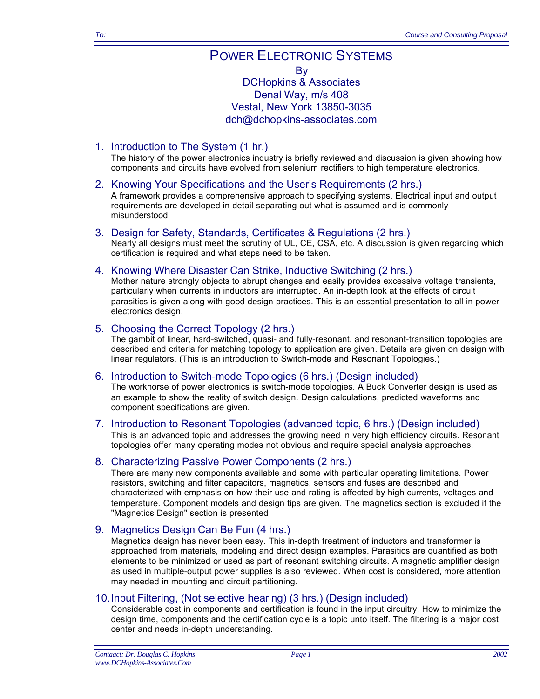# POWER ELECTRONIC SYSTEMS By DCHopkins & Associates Denal Way, m/s 408 Vestal, New York 13850-3035 dch@dchopkins-associates.com

1. Introduction to The System (1 hr.)

The history of the power electronics industry is briefly reviewed and discussion is given showing how components and circuits have evolved from selenium rectifiers to high temperature electronics.

- 2. Knowing Your Specifications and the User's Requirements (2 hrs.) A framework provides a comprehensive approach to specifying systems. Electrical input and output requirements are developed in detail separating out what is assumed and is commonly misunderstood
- 3. Design for Safety, Standards, Certificates & Regulations (2 hrs.) Nearly all designs must meet the scrutiny of UL, CE, CSA, etc. A discussion is given regarding which certification is required and what steps need to be taken.
- 4. Knowing Where Disaster Can Strike, Inductive Switching (2 hrs.)

Mother nature strongly objects to abrupt changes and easily provides excessive voltage transients, particularly when currents in inductors are interrupted. An in-depth look at the effects of circuit parasitics is given along with good design practices. This is an essential presentation to all in power electronics design.

## 5. Choosing the Correct Topology (2 hrs.)

The gambit of linear, hard-switched, quasi- and fully-resonant, and resonant-transition topologies are described and criteria for matching topology to application are given. Details are given on design with linear regulators. (This is an introduction to Switch-mode and Resonant Topologies.)

#### 6. Introduction to Switch-mode Topologies (6 hrs.) (Design included)

The workhorse of power electronics is switch-mode topologies. A Buck Converter design is used as an example to show the reality of switch design. Design calculations, predicted waveforms and component specifications are given.

7. Introduction to Resonant Topologies (advanced topic, 6 hrs.) (Design included) This is an advanced topic and addresses the growing need in very high efficiency circuits. Resonant topologies offer many operating modes not obvious and require special analysis approaches.

# 8. Characterizing Passive Power Components (2 hrs.)

There are many new components available and some with particular operating limitations. Power resistors, switching and filter capacitors, magnetics, sensors and fuses are described and characterized with emphasis on how their use and rating is affected by high currents, voltages and temperature. Component models and design tips are given. The magnetics section is excluded if the "Magnetics Design" section is presented

# 9. Magnetics Design Can Be Fun (4 hrs.)

Magnetics design has never been easy. This in-depth treatment of inductors and transformer is approached from materials, modeling and direct design examples. Parasitics are quantified as both elements to be minimized or used as part of resonant switching circuits. A magnetic amplifier design as used in multiple-output power supplies is also reviewed. When cost is considered, more attention may needed in mounting and circuit partitioning.

#### 10.Input Filtering, (Not selective hearing) (3 hrs.) (Design included)

Considerable cost in components and certification is found in the input circuitry. How to minimize the design time, components and the certification cycle is a topic unto itself. The filtering is a major cost center and needs in-depth understanding.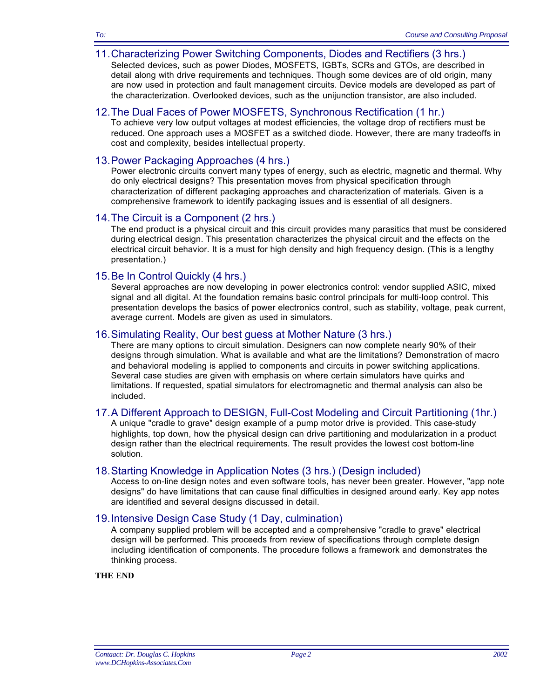## 11.Characterizing Power Switching Components, Diodes and Rectifiers (3 hrs.)

Selected devices, such as power Diodes, MOSFETS, IGBTs, SCRs and GTOs, are described in detail along with drive requirements and techniques. Though some devices are of old origin, many are now used in protection and fault management circuits. Device models are developed as part of the characterization. Overlooked devices, such as the unijunction transistor, are also included.

## 12.The Dual Faces of Power MOSFETS, Synchronous Rectification (1 hr.)

To achieve very low output voltages at modest efficiencies, the voltage drop of rectifiers must be reduced. One approach uses a MOSFET as a switched diode. However, there are many tradeoffs in cost and complexity, besides intellectual property.

## 13.Power Packaging Approaches (4 hrs.)

Power electronic circuits convert many types of energy, such as electric, magnetic and thermal. Why do only electrical designs? This presentation moves from physical specification through characterization of different packaging approaches and characterization of materials. Given is a comprehensive framework to identify packaging issues and is essential of all designers.

## 14.The Circuit is a Component (2 hrs.)

The end product is a physical circuit and this circuit provides many parasitics that must be considered during electrical design. This presentation characterizes the physical circuit and the effects on the electrical circuit behavior. It is a must for high density and high frequency design. (This is a lengthy presentation.)

## 15.Be In Control Quickly (4 hrs.)

Several approaches are now developing in power electronics control: vendor supplied ASIC, mixed signal and all digital. At the foundation remains basic control principals for multi-loop control. This presentation develops the basics of power electronics control, such as stability, voltage, peak current, average current. Models are given as used in simulators.

## 16.Simulating Reality, Our best guess at Mother Nature (3 hrs.)

There are many options to circuit simulation. Designers can now complete nearly 90% of their designs through simulation. What is available and what are the limitations? Demonstration of macro and behavioral modeling is applied to components and circuits in power switching applications. Several case studies are given with emphasis on where certain simulators have quirks and limitations. If requested, spatial simulators for electromagnetic and thermal analysis can also be included.

# 17.A Different Approach to DESIGN, Full-Cost Modeling and Circuit Partitioning (1hr.)

A unique "cradle to grave" design example of a pump motor drive is provided. This case-study highlights, top down, how the physical design can drive partitioning and modularization in a product design rather than the electrical requirements. The result provides the lowest cost bottom-line solution.

#### 18.Starting Knowledge in Application Notes (3 hrs.) (Design included)

Access to on-line design notes and even software tools, has never been greater. However, "app note designs" do have limitations that can cause final difficulties in designed around early. Key app notes are identified and several designs discussed in detail.

# 19.Intensive Design Case Study (1 Day, culmination)

A company supplied problem will be accepted and a comprehensive "cradle to grave" electrical design will be performed. This proceeds from review of specifications through complete design including identification of components. The procedure follows a framework and demonstrates the thinking process.

**THE END**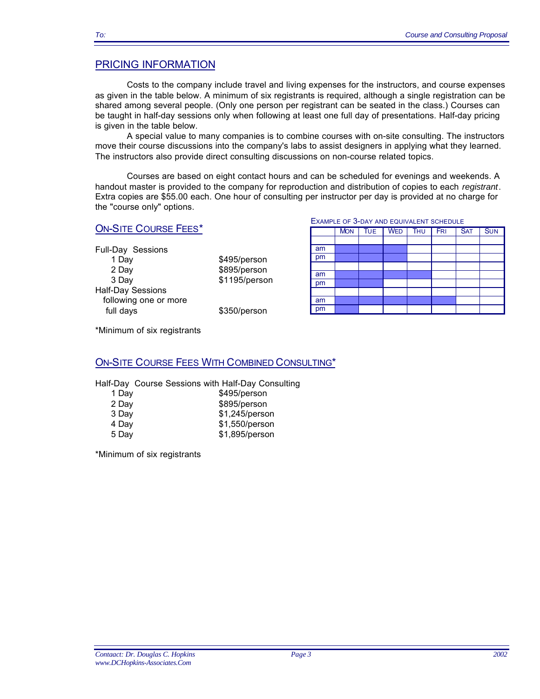# PRICING INFORMATION

Costs to the company include travel and living expenses for the instructors, and course expenses as given in the table below. A minimum of six registrants is required, although a single registration can be shared among several people. (Only one person per registrant can be seated in the class.) Courses can be taught in half-day sessions only when following at least one full day of presentations. Half-day pricing is given in the table below.

A special value to many companies is to combine courses with on-site consulting. The instructors move their course discussions into the company's labs to assist designers in applying what they learned. The instructors also provide direct consulting discussions on non-course related topics.

Courses are based on eight contact hours and can be scheduled for evenings and weekends. A handout master is provided to the company for reproduction and distribution of copies to each *registrant*. Extra copies are \$55.00 each. One hour of consulting per instructor per day is provided at no charge for the "course only" options.

# ON-SITE COURSE FEES\*

| Full-Day Sessions        |     |
|--------------------------|-----|
| 1 Day                    | \$4 |
| 2 Day                    | \$8 |
| 3 Day                    | \$1 |
| <b>Half-Day Sessions</b> |     |
| following one or more    |     |
| full days                |     |

95/person 95/person 195/person

50/person

|  |  |  |  |  |  | EXAMPLE OF 3-DAY AND EQUIVALENT SCHEDULE |  |
|--|--|--|--|--|--|------------------------------------------|--|
|--|--|--|--|--|--|------------------------------------------|--|

|    | <b>MON</b> | <b>TUE</b> | <b>WED</b> | <b>THU</b> | <b>FRI</b> | <b>SAT</b> | <b>SUN</b> |
|----|------------|------------|------------|------------|------------|------------|------------|
|    |            |            |            |            |            |            |            |
| am |            |            |            |            |            |            |            |
| pm |            |            |            |            |            |            |            |
|    |            |            |            |            |            |            |            |
| am |            |            |            |            |            |            |            |
| pm |            |            |            |            |            |            |            |
|    |            |            |            |            |            |            |            |
| am |            |            |            |            |            |            |            |
| pm |            |            |            |            |            |            |            |

\*Minimum of six registrants

#### ON-SITE COURSE FEES WITH COMBINED CONSULTING\*

Half-Day Course Sessions with Half-Day Consulting

| .     |                |
|-------|----------------|
| 1 Day | \$495/person   |
| 2 Day | \$895/person   |
| 3 Day | \$1,245/person |
| 4 Day | \$1,550/person |
| 5 Day | \$1,895/person |

\*Minimum of six registrants